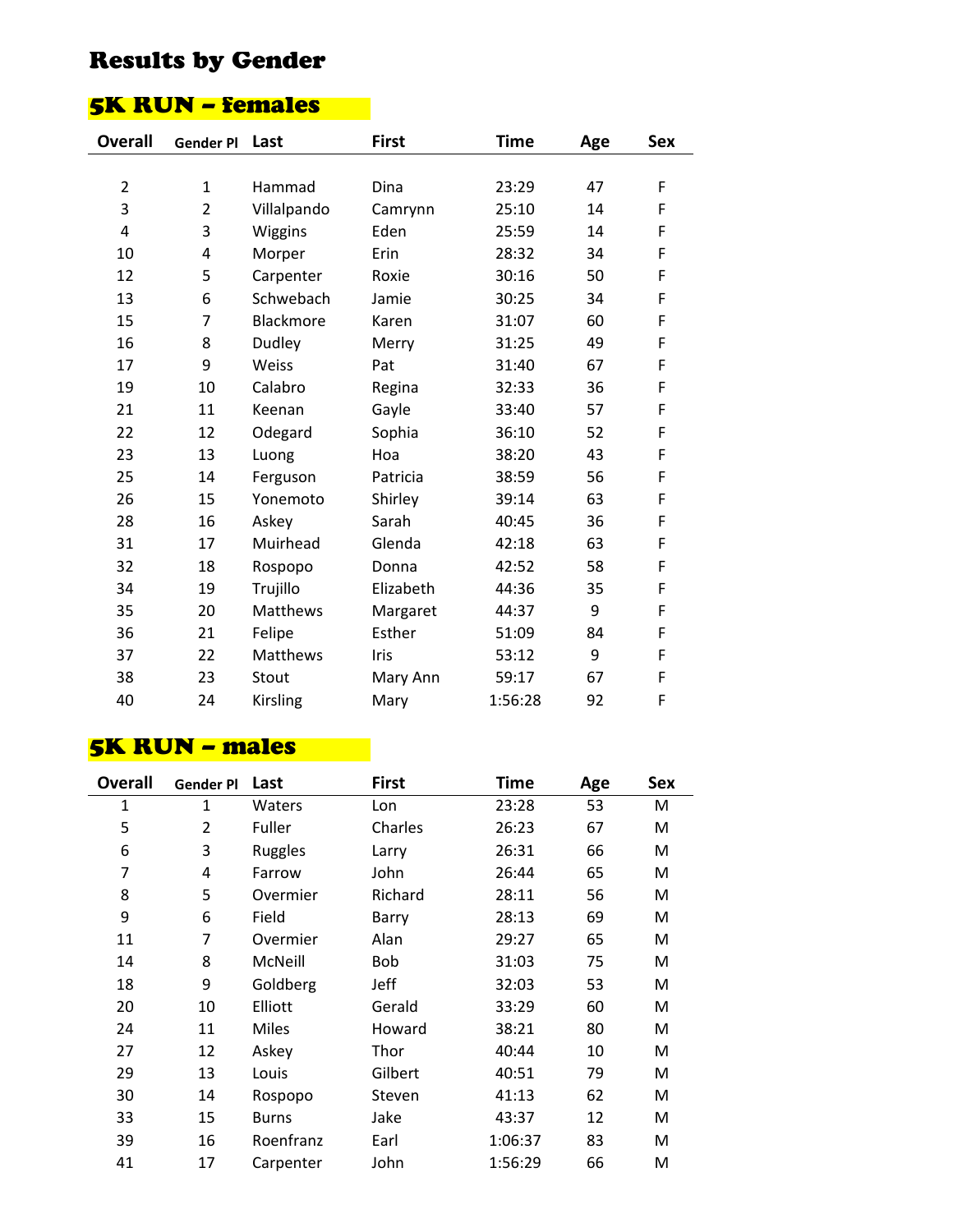# Results by Gender

### 5K RUN – females

| <b>Gender Pl</b> | Last            | <b>First</b> | <b>Time</b> | Age | <b>Sex</b> |
|------------------|-----------------|--------------|-------------|-----|------------|
|                  |                 |              |             |     |            |
| $\mathbf{1}$     | Hammad          | Dina         | 23:29       | 47  | F          |
| $\overline{2}$   | Villalpando     | Camrynn      | 25:10       | 14  | F          |
| 3                | Wiggins         | Eden         | 25:59       | 14  | F          |
| 4                | Morper          | Erin         | 28:32       | 34  | F          |
| 5                | Carpenter       | Roxie        | 30:16       | 50  | F          |
| 6                | Schwebach       | Jamie        | 30:25       | 34  | F          |
| $\overline{7}$   | Blackmore       | Karen        | 31:07       | 60  | F          |
| 8                | Dudley          | Merry        | 31:25       | 49  | F          |
| 9                | Weiss           | Pat          | 31:40       | 67  | F          |
| 10               | Calabro         | Regina       | 32:33       | 36  | F          |
| 11               | Keenan          | Gayle        | 33:40       | 57  | F          |
| 12               | Odegard         | Sophia       | 36:10       | 52  | F          |
| 13               | Luong           | Hoa          | 38:20       | 43  | F          |
| 14               | Ferguson        | Patricia     | 38:59       | 56  | F          |
| 15               | Yonemoto        | Shirley      | 39:14       | 63  | F          |
| 16               | Askey           | Sarah        | 40:45       | 36  | F          |
| 17               | Muirhead        | Glenda       | 42:18       | 63  | F          |
| 18               | Rospopo         | Donna        | 42:52       | 58  | F          |
| 19               | Trujillo        | Elizabeth    | 44:36       | 35  | F          |
| 20               | Matthews        | Margaret     | 44:37       | 9   | F          |
| 21               | Felipe          | Esther       | 51:09       | 84  | F          |
| 22               | <b>Matthews</b> | Iris         | 53:12       | 9   | F          |
| 23               | Stout           | Mary Ann     | 59:17       | 67  | F          |
| 24               | Kirsling        | Mary         | 1:56:28     | 92  | F          |
|                  |                 |              |             |     |            |

#### 5K RUN – males

| <b>Overall</b> | <b>Gender Pl</b> | Last         | <b>First</b> | Time    | Age | <b>Sex</b> |
|----------------|------------------|--------------|--------------|---------|-----|------------|
| 1              | 1                | Waters       | Lon          | 23:28   | 53  | М          |
| 5              | $\overline{2}$   | Fuller       | Charles      | 26:23   | 67  | M          |
| 6              | 3                | Ruggles      | Larry        | 26:31   | 66  | M          |
| 7              | 4                | Farrow       | John         | 26:44   | 65  | M          |
| 8              | 5                | Overmier     | Richard      | 28:11   | 56  | M          |
| 9              | 6                | Field        | Barry        | 28:13   | 69  | M          |
| 11             | 7                | Overmier     | Alan         | 29:27   | 65  | M          |
| 14             | 8                | McNeill      | <b>Bob</b>   | 31:03   | 75  | M          |
| 18             | 9                | Goldberg     | Jeff         | 32:03   | 53  | M          |
| 20             | 10               | Elliott      | Gerald       | 33:29   | 60  | M          |
| 24             | 11               | Miles        | Howard       | 38:21   | 80  | M          |
| 27             | 12               | Askey        | Thor         | 40:44   | 10  | M          |
| 29             | 13               | Louis        | Gilbert      | 40:51   | 79  | M          |
| 30             | 14               | Rospopo      | Steven       | 41:13   | 62  | M          |
| 33             | 15               | <b>Burns</b> | Jake         | 43:37   | 12  | М          |
| 39             | 16               | Roenfranz    | Earl         | 1:06:37 | 83  | M          |
| 41             | 17               | Carpenter    | John         | 1:56:29 | 66  | M          |